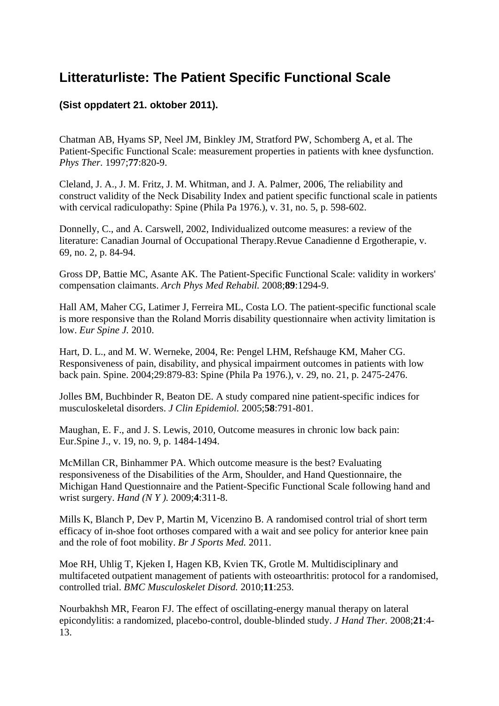## **Litteraturliste: The Patient Specific Functional Scale**

## **(Sist oppdatert 21. oktober 2011).**

Chatman AB, Hyams SP, Neel JM, Binkley JM, Stratford PW, Schomberg A, et al. The Patient-Specific Functional Scale: measurement properties in patients with knee dysfunction. *Phys Ther.* 1997;**77**:820-9.

Cleland, J. A., J. M. Fritz, J. M. Whitman, and J. A. Palmer, 2006, The reliability and construct validity of the Neck Disability Index and patient specific functional scale in patients with cervical radiculopathy: Spine (Phila Pa 1976.), v. 31, no. 5, p. 598-602.

Donnelly, C., and A. Carswell, 2002, Individualized outcome measures: a review of the literature: Canadian Journal of Occupational Therapy.Revue Canadienne d Ergotherapie, v. 69, no. 2, p. 84-94.

Gross DP, Battie MC, Asante AK. The Patient-Specific Functional Scale: validity in workers' compensation claimants. *Arch Phys Med Rehabil.* 2008;**89**:1294-9.

Hall AM, Maher CG, Latimer J, Ferreira ML, Costa LO. The patient-specific functional scale is more responsive than the Roland Morris disability questionnaire when activity limitation is low. *Eur Spine J.* 2010.

Hart, D. L., and M. W. Werneke, 2004, Re: Pengel LHM, Refshauge KM, Maher CG. Responsiveness of pain, disability, and physical impairment outcomes in patients with low back pain. Spine. 2004;29:879-83: Spine (Phila Pa 1976.), v. 29, no. 21, p. 2475-2476.

Jolles BM, Buchbinder R, Beaton DE. A study compared nine patient-specific indices for musculoskeletal disorders. *J Clin Epidemiol.* 2005;**58**:791-801.

Maughan, E. F., and J. S. Lewis, 2010, Outcome measures in chronic low back pain: Eur.Spine J., v. 19, no. 9, p. 1484-1494.

McMillan CR, Binhammer PA. Which outcome measure is the best? Evaluating responsiveness of the Disabilities of the Arm, Shoulder, and Hand Questionnaire, the Michigan Hand Questionnaire and the Patient-Specific Functional Scale following hand and wrist surgery. *Hand (N Y ).* 2009;**4**:311-8.

Mills K, Blanch P, Dev P, Martin M, Vicenzino B. A randomised control trial of short term efficacy of in-shoe foot orthoses compared with a wait and see policy for anterior knee pain and the role of foot mobility. *Br J Sports Med.* 2011.

Moe RH, Uhlig T, Kjeken I, Hagen KB, Kvien TK, Grotle M. Multidisciplinary and multifaceted outpatient management of patients with osteoarthritis: protocol for a randomised, controlled trial. *BMC Musculoskelet Disord.* 2010;**11**:253.

Nourbakhsh MR, Fearon FJ. The effect of oscillating-energy manual therapy on lateral epicondylitis: a randomized, placebo-control, double-blinded study. *J Hand Ther.* 2008;**21**:4- 13.